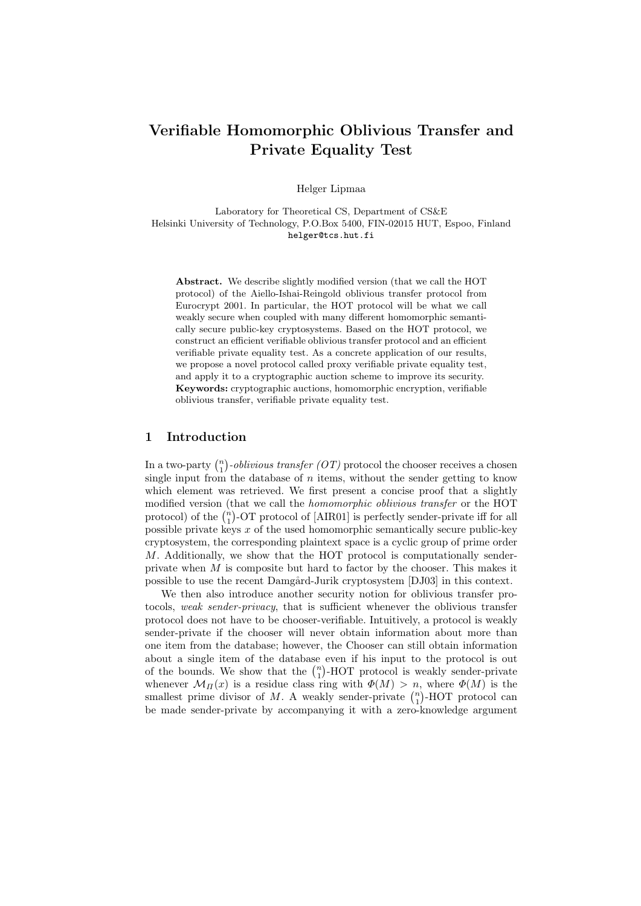# Verifiable Homomorphic Oblivious Transfer and Private Equality Test

Helger Lipmaa

Laboratory for Theoretical CS, Department of CS&E Helsinki University of Technology, P.O.Box 5400, FIN-02015 HUT, Espoo, Finland helger@tcs.hut.fi

Abstract. We describe slightly modified version (that we call the HOT protocol) of the Aiello-Ishai-Reingold oblivious transfer protocol from Eurocrypt 2001. In particular, the HOT protocol will be what we call weakly secure when coupled with many different homomorphic semantically secure public-key cryptosystems. Based on the HOT protocol, we construct an efficient verifiable oblivious transfer protocol and an efficient verifiable private equality test. As a concrete application of our results, we propose a novel protocol called proxy verifiable private equality test, and apply it to a cryptographic auction scheme to improve its security. Keywords: cryptographic auctions, homomorphic encryption, verifiable oblivious transfer, verifiable private equality test.

### 1 Introduction

In a two-party  $\binom{n}{1}$ ¢  $-oblivious transfer (OT) protocol the choose receives a chosen$ single input from the database of  $n$  items, without the sender getting to know which element was retrieved. We first present a concise proof that a slightly modified version (that we call the *homomorphic oblivious transfer* or the HOT modified version (that we call the *homomorphic oblivious transfer* or the HOT protocol) of the  $\binom{n}{1}$ -OT protocol of [AIR01] is perfectly sender-private iff for all possible private keys  $x$  of the used homomorphic semantically secure public-key cryptosystem, the corresponding plaintext space is a cyclic group of prime order M. Additionally, we show that the HOT protocol is computationally senderprivate when M is composite but hard to factor by the chooser. This makes it possible to use the recent Damgård-Jurik cryptosystem [DJ03] in this context.

We then also introduce another security notion for oblivious transfer protocols, weak sender-privacy, that is sufficient whenever the oblivious transfer protocol does not have to be chooser-verifiable. Intuitively, a protocol is weakly sender-private if the chooser will never obtain information about more than one item from the database; however, the Chooser can still obtain information about a single item of the database even if his input to the protocol is out about a single from of the database even if his input to the protocol is out of the bounds. We show that the  $\binom{n}{1}$ -HOT protocol is weakly sender-private whenever  $\mathcal{M}_{\Pi}(x)$  is a residue class ring with  $\Phi(M) > n$ , where  $\Phi(M)$  is the whenever  $\mathcal{M}_{\Pi}(x)$  is a residue class ring with  $\varphi(M) > n$ , where  $\varphi(M)$  is the smallest prime divisor of M. A weakly sender-private  $\binom{n}{1}$ -HOT protocol can be made sender-private by accompanying it with a zero-knowledge argument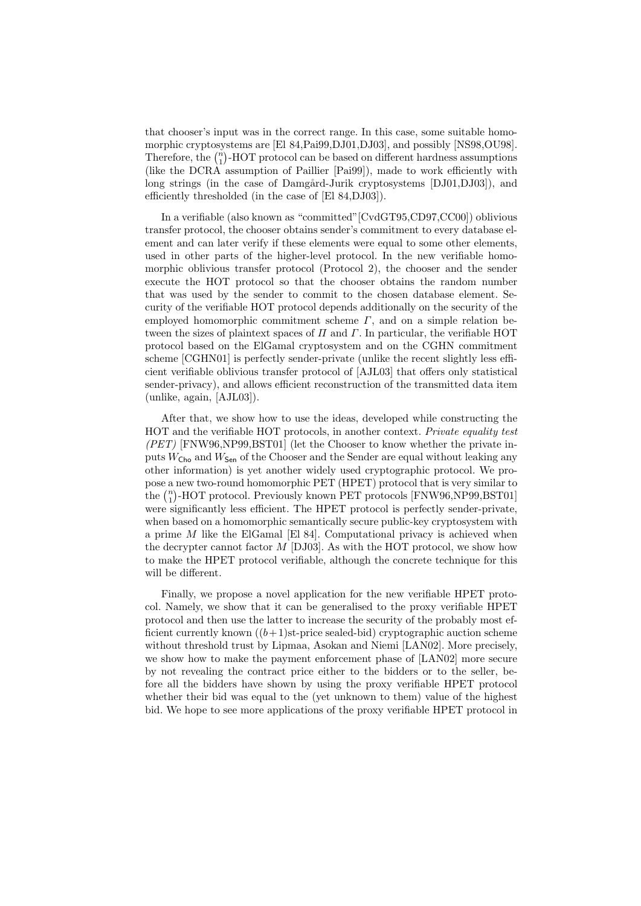that chooser's input was in the correct range. In this case, some suitable homomorphic cryptosystems are [El 84,Pai99,DJ01,DJ03], and possibly [NS98,OU98]. morphic cryptosystems are  $[E1 84, Fa199, DJ01, DJ03]$ , and possibly  $[N598, OU98]$ .<br>Therefore, the  $\binom{n}{1}$ -HOT protocol can be based on different hardness assumptions (like the DCRA assumption of Paillier [Pai99]), made to work efficiently with long strings (in the case of Damgård-Jurik cryptosystems [DJ01,DJ03]), and efficiently thresholded (in the case of [El 84,DJ03]).

In a verifiable (also known as "committed"[CvdGT95,CD97,CC00]) oblivious transfer protocol, the chooser obtains sender's commitment to every database element and can later verify if these elements were equal to some other elements, used in other parts of the higher-level protocol. In the new verifiable homomorphic oblivious transfer protocol (Protocol 2), the chooser and the sender execute the HOT protocol so that the chooser obtains the random number that was used by the sender to commit to the chosen database element. Security of the verifiable HOT protocol depends additionally on the security of the employed homomorphic commitment scheme  $\Gamma$ , and on a simple relation between the sizes of plaintext spaces of  $\Pi$  and  $\Gamma$ . In particular, the verifiable HOT protocol based on the ElGamal cryptosystem and on the CGHN commitment scheme [CGHN01] is perfectly sender-private (unlike the recent slightly less efficient verifiable oblivious transfer protocol of [AJL03] that offers only statistical sender-privacy), and allows efficient reconstruction of the transmitted data item (unlike, again, [AJL03]).

After that, we show how to use the ideas, developed while constructing the HOT and the verifiable HOT protocols, in another context. Private equality test (PET) [FNW96,NP99,BST01] (let the Chooser to know whether the private inputs  $W_{\text{Cho}}$  and  $W_{\text{Sen}}$  of the Chooser and the Sender are equal without leaking any other information) is yet another widely used cryptographic protocol. We propose a new two-round homomorphic PET (HPET) protocol that is very similar to pose a new two-round nomomorphic  $PEI$  (HPE1) protocol that is very similar to the  $\binom{n}{1}$ -HOT protocol. Previously known PET protocols [FNW96,NP99,BST01] were significantly less efficient. The HPET protocol is perfectly sender-private, when based on a homomorphic semantically secure public-key cryptosystem with a prime  $M$  like the ElGamal [El 84]. Computational privacy is achieved when the decrypter cannot factor  $M$  [DJ03]. As with the HOT protocol, we show how to make the HPET protocol verifiable, although the concrete technique for this will be different.

Finally, we propose a novel application for the new verifiable HPET protocol. Namely, we show that it can be generalised to the proxy verifiable HPET protocol and then use the latter to increase the security of the probably most efficient currently known  $((b+1)$ st-price sealed-bid) cryptographic auction scheme without threshold trust by Lipmaa, Asokan and Niemi [LAN02]. More precisely, we show how to make the payment enforcement phase of [LAN02] more secure by not revealing the contract price either to the bidders or to the seller, before all the bidders have shown by using the proxy verifiable HPET protocol whether their bid was equal to the (yet unknown to them) value of the highest bid. We hope to see more applications of the proxy verifiable HPET protocol in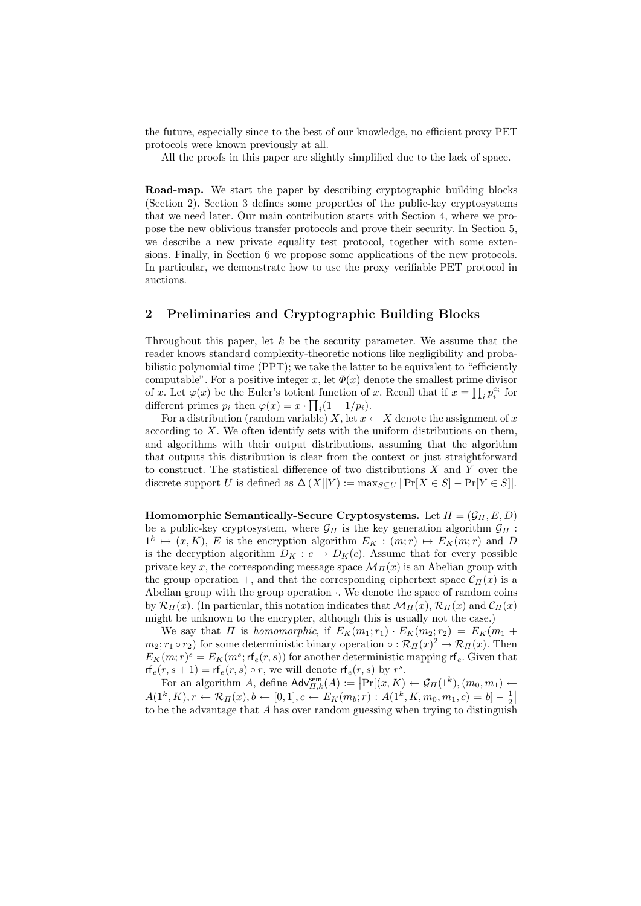the future, especially since to the best of our knowledge, no efficient proxy PET protocols were known previously at all.

All the proofs in this paper are slightly simplified due to the lack of space.

Road-map. We start the paper by describing cryptographic building blocks (Section 2). Section 3 defines some properties of the public-key cryptosystems that we need later. Our main contribution starts with Section 4, where we propose the new oblivious transfer protocols and prove their security. In Section 5, we describe a new private equality test protocol, together with some extensions. Finally, in Section 6 we propose some applications of the new protocols. In particular, we demonstrate how to use the proxy verifiable PET protocol in auctions.

# 2 Preliminaries and Cryptographic Building Blocks

Throughout this paper, let  $k$  be the security parameter. We assume that the reader knows standard complexity-theoretic notions like negligibility and probabilistic polynomial time (PPT); we take the latter to be equivalent to "efficiently computable". For a positive integer x, let  $\Phi(x)$  denote the smallest prime divisor of x. Let  $\varphi(x)$  be the Euler's totient function of x. Recall that if  $x = \prod_i p_i^{c_i}$  for different primes  $p_i$  then  $\varphi(x) = x \cdot \prod_i (1 - 1/p_i)$ .

For a distribution (random variable) X, let  $x \leftarrow X$  denote the assignment of x according to  $X$ . We often identify sets with the uniform distributions on them, and algorithms with their output distributions, assuming that the algorithm that outputs this distribution is clear from the context or just straightforward to construct. The statistical difference of two distributions  $X$  and  $Y$  over the discrete support U is defined as  $\Delta(X||Y) := \max_{S \subset U} |Pr[X \in S] - Pr[Y \in S]|$ .

Homomorphic Semantically-Secure Cryptosystems. Let  $\Pi = (\mathcal{G}_{\Pi}, E, D)$ be a public-key cryptosystem, where  $\mathcal{G}_{\Pi}$  is the key generation algorithm  $\mathcal{G}_{\Pi}$ :  $1^k \mapsto (x, K)$ , E is the encryption algorithm  $E_K : (m; r) \mapsto E_K(m; r)$  and D is the decryption algorithm  $D_K : c \mapsto D_K(c)$ . Assume that for every possible private key x, the corresponding message space  $\mathcal{M}_{\Pi}(x)$  is an Abelian group with the group operation +, and that the corresponding ciphertext space  $\mathcal{C}_{\Pi}(x)$  is a Abelian group with the group operation ·. We denote the space of random coins by  $\mathcal{R}_{\Pi}(x)$ . (In particular, this notation indicates that  $\mathcal{M}_{\Pi}(x)$ ,  $\mathcal{R}_{\Pi}(x)$  and  $\mathcal{C}_{\Pi}(x)$ might be unknown to the encrypter, although this is usually not the case.)

We say that  $\Pi$  is homomorphic, if  $E_K(m_1;r_1)\cdot E_K(m_2;r_2) = E_K(m_1 +$  $m_2$ ;  $r_1 \circ r_2$ ) for some deterministic binary operation  $\circ : \mathcal{R}_{\Pi}(x) \to \mathcal{R}_{\Pi}(x)$ . Then  $E_K(m;r)^s = E_K(m^s; \mathsf{rf}_e(r,s))$  for another deterministic mapping  $\mathsf{rf}_e$ . Given that  $\mathsf{rf}_e(r, s+1) = \mathsf{rf}_e(r, s) \circ r$ , we will denote  $\mathsf{rf}_e(r, s)$  by  $r^s$ .

For an algorithm A, define  $\mathsf{Adv}_{\Pi,k}^{\mathsf{sem}}(A) := \left| \Pr[(x, K) \leftarrow \mathcal{G}_{\Pi}(1^k), (m_0, m_1) \leftarrow$  $A(1^k, K), r \leftarrow \mathcal{R}_{\Pi}(x), b \leftarrow [0, 1], c \leftarrow E_K(m_b; r) : A(1^k, K, m_0, m_1, c) = b - \frac{1}{2}$ to be the advantage that A has over random guessing when trying to distinguish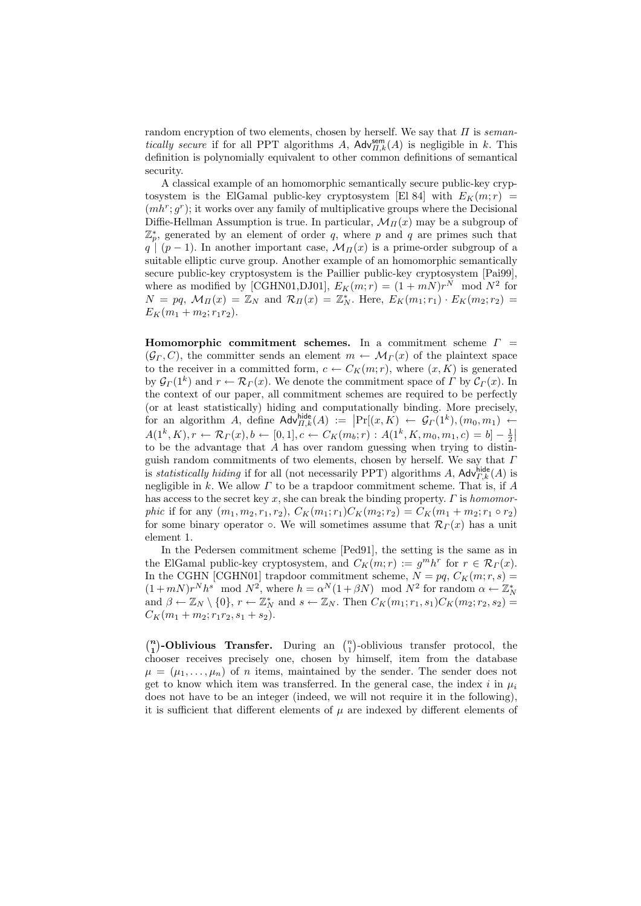random encryption of two elements, chosen by herself. We say that  $\Pi$  is seman*tically secure* if for all PPT algorithms A,  $\mathsf{Adv}_{\Pi,k}^{\mathsf{sem}}(A)$  is negligible in k. This definition is polynomially equivalent to other common definitions of semantical security.

A classical example of an homomorphic semantically secure public-key cryptosystem is the ElGamal public-key cryptosystem [El 84] with  $E_K(m; r)$  =  $(mh<sup>r</sup>; g<sup>r</sup>)$ ; it works over any family of multiplicative groups where the Decisional Diffie-Hellman Assumption is true. In particular,  $\mathcal{M}_{\Pi}(x)$  may be a subgroup of  $\mathbb{Z}_p^*$ , generated by an element of order q, where p and q are primes such that  $q \mid (p-1)$ . In another important case,  $\mathcal{M}_{\Pi}(x)$  is a prime-order subgroup of a suitable elliptic curve group. Another example of an homomorphic semantically secure public-key cryptosystem is the Paillier public-key cryptosystem [Pai99], where as modified by [CGHN01,DJ01],  $E_K(m;r) = (1 + mN)r^N \mod N^2$  for  $N = pq, M_{\Pi}(x) = \mathbb{Z}_N$  and  $\mathcal{R}_{\Pi}(x) = \mathbb{Z}_N^*$ . Here,  $E_K(m_1; r_1) \cdot E_K(m_2; r_2) =$  $E_K(m_1 + m_2; r_1r_2).$ 

Homomorphic commitment schemes. In a commitment scheme  $\Gamma =$  $(\mathcal{G}_{\Gamma}, C)$ , the committer sends an element  $m \leftarrow \mathcal{M}_{\Gamma}(x)$  of the plaintext space to the receiver in a committed form,  $c \leftarrow C_K(m;r)$ , where  $(x, K)$  is generated by  $\mathcal{G}_{\Gamma}(1^k)$  and  $r \leftarrow \mathcal{R}_{\Gamma}(x)$ . We denote the commitment space of  $\Gamma$  by  $\mathcal{C}_{\Gamma}(x)$ . In the context of our paper, all commitment schemes are required to be perfectly (or at least statistically) hiding and computationally binding. More precisely, ¯ for an algorithm A, define  $\mathsf{Adv}_{H,k}^{\mathsf{hidden}}(A) := \Pr[(x,K) \leftarrow \mathcal{G}_{\Gamma}(1^k), (m_0, m_1) \leftarrow$  $A(1^k, K), r \leftarrow \mathcal{R}_{\Gamma}(x), b \leftarrow [0, 1], c \leftarrow C_K(m_b; r) : A(1^k, K, m_0, m_1, c) = b] - \frac{1}{2}$ to be the advantage that A has over random guessing when trying to distinguish random commitments of two elements, chosen by herself. We say that  $\Gamma$ is *statistically hiding* if for all (not necessarily PPT) algorithms A,  $\mathsf{Adv}_{r,k}^{\mathsf{hide}}(A)$  is negligible in k. We allow  $\Gamma$  to be a trapdoor commitment scheme. That is, if  $A$ has access to the secret key  $x$ , she can break the binding property.  $\Gamma$  is homomorphic if for any  $(m_1, m_2, r_1, r_2)$ ,  $C_K(m_1; r_1)C_K(m_2; r_2) = C_K(m_1 + m_2; r_1 \circ r_2)$ for some binary operator  $\circ$ . We will sometimes assume that  $\mathcal{R}_{\Gamma}(x)$  has a unit element 1.

In the Pedersen commitment scheme [Ped91], the setting is the same as in the ElGamal public-key cryptosystem, and  $C_K(m;r) := g^m h^r$  for  $r \in \mathcal{R}_\Gamma(x)$ . In the CGHN [CGHN01] trapdoor commitment scheme,  $N = pq$ ,  $C_K(m; r, s) =$  $(1+mN)r^Nh^s \mod N^2$ , where  $h = \alpha^N(1+\beta N) \mod N^2$  for random  $\alpha \leftarrow \mathbb{Z}_N^*$  and  $\beta \leftarrow \mathbb{Z}_N \setminus \{0\}, r \leftarrow \mathbb{Z}_N^*$  and  $s \leftarrow \mathbb{Z}_N$ . Then  $C_K(m_1; r_1, s_1)C_K(m_2; r_2, s_2)$  $C_K(m_1 + m_2; r_1r_2, s_1 + s_2).$ 

 $\binom{n}{r}$ 1  $\big)$ -Oblivious Transfer. During an  $\binom{n}{1}$ ¢ -oblivious transfer protocol, the chooser receives precisely one, chosen by himself, item from the database  $\mu = (\mu_1, \ldots, \mu_n)$  of *n* items, maintained by the sender. The sender does not get to know which item was transferred. In the general case, the index i in  $\mu_i$ does not have to be an integer (indeed, we will not require it in the following), it is sufficient that different elements of  $\mu$  are indexed by different elements of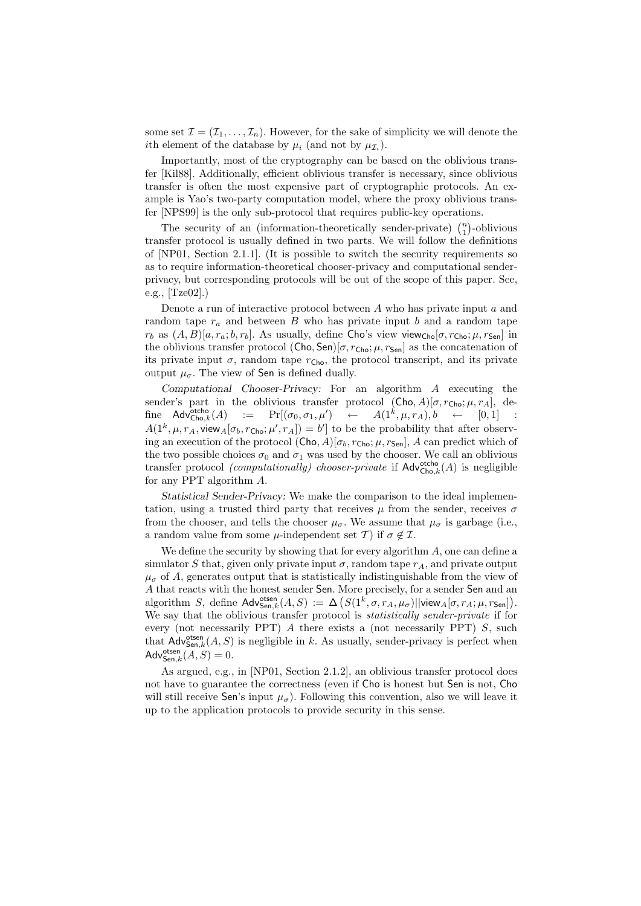some set  $\mathcal{I} = (\mathcal{I}_1, \ldots, \mathcal{I}_n)$ . However, for the sake of simplicity we will denote the *i*th element of the database by  $\mu_i$  (and not by  $\mu_{\mathcal{I}_i}$ ).

Importantly, most of the cryptography can be based on the oblivious transfer [Kil88]. Additionally, efficient oblivious transfer is necessary, since oblivious transfer is often the most expensive part of cryptographic protocols. An example is Yao's two-party computation model, where the proxy oblivious transfer [NPS99] is the only sub-protocol that requires public-key operations. ¢

The security of an (information-theoretically sender-private)  $\binom{n}{1}$ -oblivious transfer protocol is usually defined in two parts. We will follow the definitions of  $[NP01, Section 2.1.1]$ . (It is possible to switch the security requirements so as to require information-theoretical chooser-privacy and computational senderprivacy, but corresponding protocols will be out of the scope of this paper. See, e.g., [Tze02].)

Denote a run of interactive protocol between  $A$  who has private input  $a$  and random tape  $r_a$  and between  $B$  who has private input b and a random tape  $r_b$  as  $(A, B)[a, r_a; b, r_b]$ . As usually, define Cho's view view<sub>Cho</sub>[ $\sigma, r_c$ <sub>ho</sub>;  $\mu, r_{\text{Sen}}$ ] in the oblivious transfer protocol (Cho, Sen)[ $\sigma$ ,  $r_{\text{Cho}}$ ;  $\mu$ ,  $r_{\text{Sen}}$ ] as the concatenation of its private input  $\sigma$ , random tape  $r_{\text{Cho}}$ , the protocol transcript, and its private output  $\mu_{\sigma}$ . The view of Sen is defined dually.

Computational Chooser-Privacy: For an algorithm A executing the sender's part in the oblivious transfer protocol  $(Cho, A)[\sigma, r_{Cho}; \mu, r_A],$  define  $\mathsf{Adv}_{\mathsf{Cho},k}^{\mathsf{otcho}}(A)$  $\mathsf{Coho}\limits_{\mathsf{Cho}\limits,k}(A) \quad := \quad \Pr[(\sigma_0,\sigma_1,\mu') \quad \leftarrow \quad A(1^k,\mu,r_A), b \quad \leftarrow \quad [0,1] \quad \mathcal{Coho}\limits_{\mathsf{Cho}\limits,k}(A)$  $A(1^k, \mu, r_A, \text{view}_A[\sigma_b, r_{\text{Cho}}; \mu', r_A]) = b'$  to be the probability that after observing an execution of the protocol  $(Cho, A)[\sigma_b, r_{Cho}; \mu, r_{Sen}], A$  can predict which of the two possible choices  $\sigma_0$  and  $\sigma_1$  was used by the chooser. We call an oblivious transfer protocol *(computationally)* chooser-private if  $\mathsf{Adv}_{\mathsf{Cho},k}^{\mathsf{otcho}}(A)$  is negligible for any PPT algorithm A.

Statistical Sender-Privacy: We make the comparison to the ideal implementation, using a trusted third party that receives  $\mu$  from the sender, receives  $\sigma$ from the chooser, and tells the chooser  $\mu_{\sigma}$ . We assume that  $\mu_{\sigma}$  is garbage (i.e., a random value from some  $\mu$ -independent set T) if  $\sigma \notin \mathcal{I}$ .

We define the security by showing that for every algorithm  $A$ , one can define a simulator S that, given only private input  $\sigma$ , random tape  $r_A$ , and private output  $\mu_{\sigma}$  of A, generates output that is statistically indistinguishable from the view of A that reacts with the honest sender Sen. More precisely, for a sender Sen and an algorithm S, define  $\mathsf{Adv}^{\mathsf{ots}}_{\mathsf{Sen},k}(A,S) := \Delta \big( S(1^k, \sigma, r_A, \mu_\sigma) || \mathsf{view}_A[\sigma, r_A; \mu, r_{\mathsf{Sen}}] \big).$ We say that the oblivious transfer protocol is statistically sender-private if for every (not necessarily PPT) A there exists a (not necessarily PPT) S, such that  $\mathsf{Adv}_{\mathsf{Sen},k}^{\mathsf{otsen}}(A, S)$  is negligible in k. As usually, sender-privacy is perfect when  $\mathsf{Adv}^{\mathsf{otsen}}_{\mathsf{Sen},k}(A,S) = 0.$ 

As argued, e.g., in [NP01, Section 2.1.2], an oblivious transfer protocol does not have to guarantee the correctness (even if Cho is honest but Sen is not, Cho will still receive Sen's input  $\mu_{\sigma}$ ). Following this convention, also we will leave it up to the application protocols to provide security in this sense.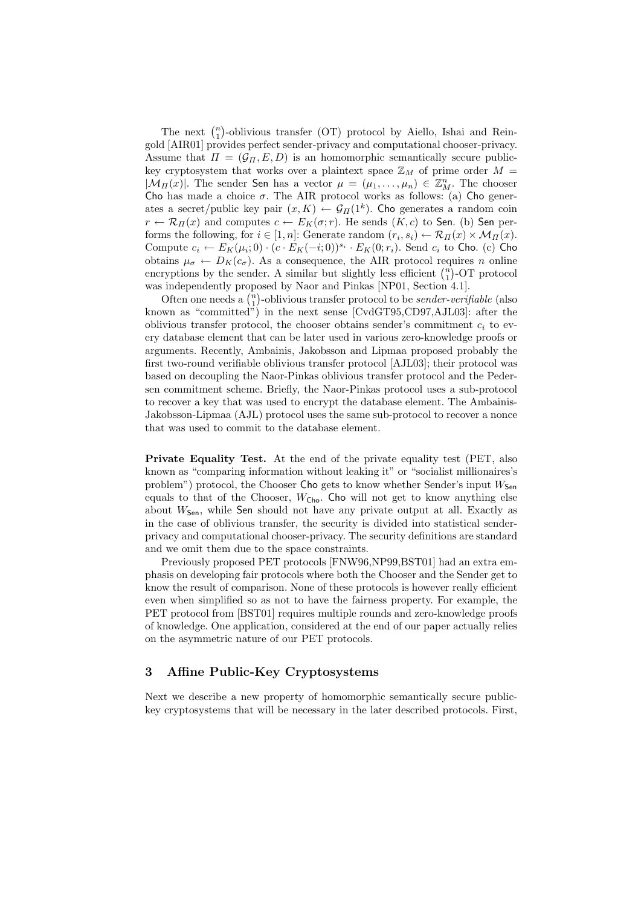The next  $\binom{n}{1}$ ¢ -oblivious transfer (OT) protocol by Aiello, Ishai and Reingold [AIR01] provides perfect sender-privacy and computational chooser-privacy. Assume that  $\Pi = (\mathcal{G}_{\Pi}, E, D)$  is an homomorphic semantically secure publickey cryptosystem that works over a plaintext space  $\mathbb{Z}_M$  of prime order  $M =$  $|\mathcal{M}_{\Pi}(x)|$ . The sender Sen has a vector  $\mu = (\mu_1, \ldots, \mu_n) \in \mathbb{Z}_{M}^n$ . The chooser Cho has made a choice  $\sigma$ . The AIR protocol works as follows: (a) Cho generates a secret/public key pair  $(x, K) \leftarrow \mathcal{G}_{\Pi}(1^k)$ . Cho generates a random coin  $r \leftarrow \mathcal{R}_{\Pi}(x)$  and computes  $c \leftarrow E_K(\sigma; r)$ . He sends  $(K, c)$  to Sen. (b) Sen performs the following, for  $i \in [1, n]$ : Generate random  $(r_i, s_i) \leftarrow \mathcal{R}_{\Pi}(x) \times \mathcal{M}_{\Pi}(x)$ . Compute  $c_i \leftarrow E_K(\mu_i; 0) \cdot (c \cdot E_K(-i; 0))^{s_i} \cdot E_K(0; r_i)$ . Send  $c_i$  to Cho. (c) Cho obtains  $\mu_{\sigma} \leftarrow D_K(c_{\sigma})$ . As a consequence, the AIR protocol requires *n* online botains  $\mu_{\sigma} \leftarrow D_K(c_{\sigma})$ . As a consequence, the AIR protocol requires *n* online<br>encryptions by the sender. A similar but slightly less efficient  $\binom{n}{1}$ -OT protocol was independently proposed by Naor and Pinkas [NP01, Section 4.1].

is independently proposed by Naor and Pinkas [NPUI, Section 4.1].<br>Often one needs a  $\binom{n}{1}$ -oblivious transfer protocol to be *sender-verifiable* (also known as "committed") in the next sense [CvdGT95,CD97,AJL03]: after the oblivious transfer protocol, the chooser obtains sender's commitment  $c_i$  to every database element that can be later used in various zero-knowledge proofs or arguments. Recently, Ambainis, Jakobsson and Lipmaa proposed probably the first two-round verifiable oblivious transfer protocol [AJL03]; their protocol was based on decoupling the Naor-Pinkas oblivious transfer protocol and the Pedersen commitment scheme. Briefly, the Naor-Pinkas protocol uses a sub-protocol to recover a key that was used to encrypt the database element. The Ambainis-Jakobsson-Lipmaa (AJL) protocol uses the same sub-protocol to recover a nonce that was used to commit to the database element.

Private Equality Test. At the end of the private equality test (PET, also known as "comparing information without leaking it" or "socialist millionaires's problem") protocol, the Chooser Cho gets to know whether Sender's input  $W_{\mathsf{Sen}}$ equals to that of the Chooser,  $W_{\text{Cho}}$ . Cho will not get to know anything else about  $W_{\text{Sen}}$ , while Sen should not have any private output at all. Exactly as in the case of oblivious transfer, the security is divided into statistical senderprivacy and computational chooser-privacy. The security definitions are standard and we omit them due to the space constraints.

Previously proposed PET protocols [FNW96,NP99,BST01] had an extra emphasis on developing fair protocols where both the Chooser and the Sender get to know the result of comparison. None of these protocols is however really efficient even when simplified so as not to have the fairness property. For example, the PET protocol from [BST01] requires multiple rounds and zero-knowledge proofs of knowledge. One application, considered at the end of our paper actually relies on the asymmetric nature of our PET protocols.

## 3 Affine Public-Key Cryptosystems

Next we describe a new property of homomorphic semantically secure publickey cryptosystems that will be necessary in the later described protocols. First,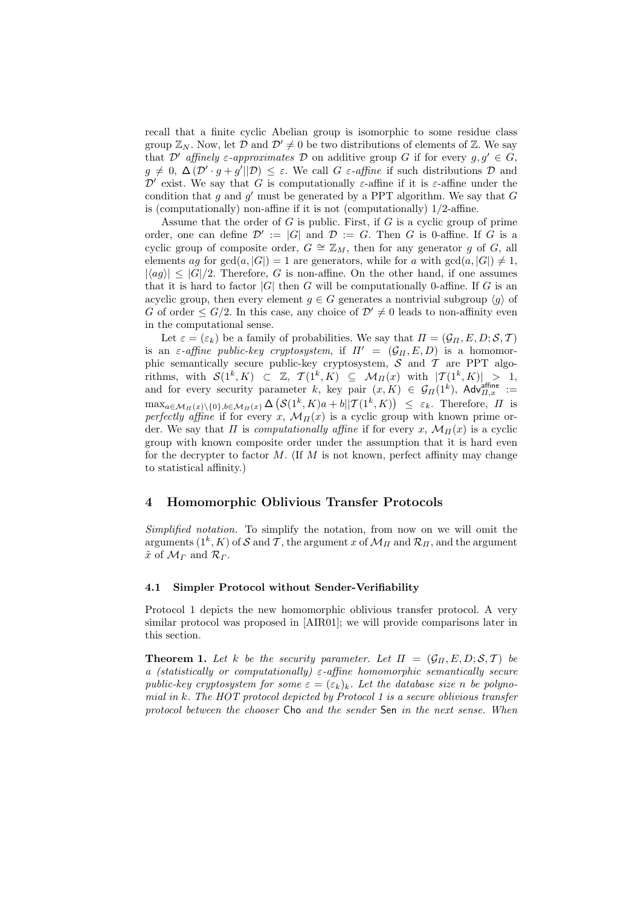recall that a finite cyclic Abelian group is isomorphic to some residue class group  $\mathbb{Z}_N$ . Now, let  $\mathcal D$  and  $\mathcal D' \neq 0$  be two distributions of elements of  $\mathbb Z$ . We say that D' affinely  $\varepsilon$ -approximates D on additive group G if for every  $g, g' \in G$ ,  $g \neq 0, \Delta (D' \cdot g + g' || D) \leq \varepsilon$ . We call G  $\varepsilon$ -affine if such distributions D and  $\mathcal{D}'$  exist. We say that G is computationally  $\varepsilon$ -affine if it is  $\varepsilon$ -affine under the condition that g and  $g'$  must be generated by a PPT algorithm. We say that G is (computationally) non-affine if it is not (computationally) 1/2-affine.

Assume that the order of  $G$  is public. First, if  $G$  is a cyclic group of prime order, one can define  $\mathcal{D}' := |G|$  and  $\mathcal{D} := G$ . Then G is 0-affine. If G is a cyclic group of composite order,  $G \cong \mathbb{Z}_M$ , then for any generator g of G, all elements ag for  $gcd(a, |G|) = 1$  are generators, while for a with  $gcd(a, |G|) \neq 1$ ,  $|\langle ag \rangle| \leq |G|/2$ . Therefore, G is non-affine. On the other hand, if one assumes that it is hard to factor  $|G|$  then G will be computationally 0-affine. If G is an acyclic group, then every element  $g \in G$  generates a nontrivial subgroup  $\langle g \rangle$  of G of order  $\leq G/2$ . In this case, any choice of  $\mathcal{D}' \neq 0$  leads to non-affinity even in the computational sense.

Let  $\varepsilon = (\varepsilon_k)$  be a family of probabilities. We say that  $\Pi = (\mathcal{G}_{\Pi}, E, D; \mathcal{S}, \mathcal{T})$ is an  $\varepsilon$ -affine public-key cryptosystem, if  $\Pi' = (\mathcal{G}_{\Pi}, E, D)$  is a homomorphic semantically secure public-key cryptosystem,  $S$  and  $T$  are PPT algorithms, with  $S(1^k, K) \subset \mathbb{Z}$ ,  $\mathcal{T}(1^k, K) \subseteq \mathcal{M}_{\Pi}(x)$  with  $|\mathcal{T}(1^k, K)| > 1$ , and for every security parameter k, key pair  $(x, K) \in \mathcal{G}_{\Pi}(1^k)$ , Adv $_{\Pi,x}^{\text{affine}} :=$  $\max_{a \in \mathcal{M}_{\Pi}(x) \setminus \{0\}, b \in \mathcal{M}_{\Pi}(x)} \Delta \left( \mathcal{S}(1^k, K)a + b \|\mathcal{T}(1^k, K) \right) \leq \varepsilon_k$ . Therefore,  $\Pi$  is perfectly affine if for every x,  $\mathcal{M}_{\Pi}(x)$  is a cyclic group with known prime order. We say that  $\Pi$  is *computationally affine* if for every x,  $\mathcal{M}_{\Pi}(x)$  is a cyclic group with known composite order under the assumption that it is hard even for the decrypter to factor M. (If M is not known, perfect affinity may change to statistical affinity.)

## 4 Homomorphic Oblivious Transfer Protocols

Simplified notation. To simplify the notation, from now on we will omit the arguments  $(1^k, K)$  of  $\mathcal S$  and  $\mathcal T,$  the argument  $x$  of  $\mathcal M_{\varPi}$  and  $\mathcal R_{\varPi},$  and the argument  $\tilde{x}$  of  $\mathcal{M}_{\Gamma}$  and  $\mathcal{R}_{\Gamma}$ .

#### 4.1 Simpler Protocol without Sender-Verifiability

Protocol 1 depicts the new homomorphic oblivious transfer protocol. A very similar protocol was proposed in [AIR01]; we will provide comparisons later in this section.

**Theorem 1.** Let k be the security parameter. Let  $\Pi = (\mathcal{G}_{\Pi}, E, D; \mathcal{S}, \mathcal{T})$  be a (statistically or computationally)  $\varepsilon$ -affine homomorphic semantically secure public-key cryptosystem for some  $\varepsilon = (\varepsilon_k)_k$ . Let the database size n be polynomial in k. The HOT protocol depicted by Protocol 1 is a secure oblivious transfer protocol between the chooser Cho and the sender Sen in the next sense. When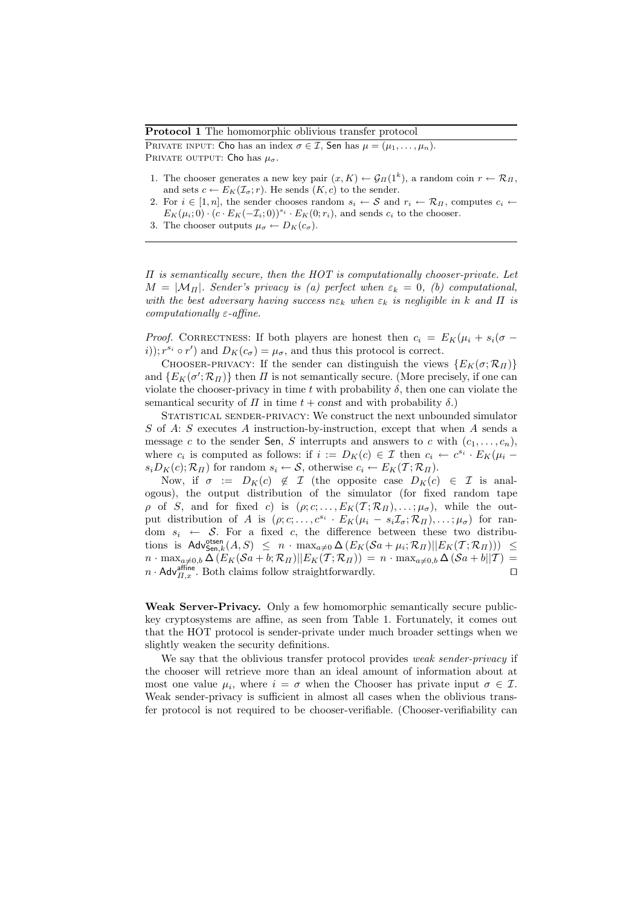#### Protocol 1 The homomorphic oblivious transfer protocol

PRIVATE INPUT: Cho has an index  $\sigma \in \mathcal{I}$ , Sen has  $\mu = (\mu_1, \dots, \mu_n)$ . PRIVATE OUTPUT: Cho has  $\mu_{\sigma}$ .

- 1. The chooser generates a new key pair  $(x, K) \leftarrow \mathcal{G}_{\Pi}(1^k)$ , a random coin  $r \leftarrow \mathcal{R}_{\Pi}$ , and sets  $c \leftarrow E_K(\mathcal{I}_{\sigma}; r)$ . He sends  $(K, c)$  to the sender.
- 2. For  $i \in [1, n]$ , the sender chooses random  $s_i \leftarrow S$  and  $r_i \leftarrow \mathcal{R}_{\Pi}$ , computes  $c_i \leftarrow$  $E_K(\mu_i;0) \cdot (c \cdot E_K(-\mathcal{I}_i;0))^{s_i} \cdot E_K(0;r_i)$ , and sends  $c_i$  to the chooser.
- 3. The chooser outputs  $\mu_{\sigma} \leftarrow D_K(c_{\sigma}).$

 $\Pi$  is semantically secure, then the  $HOT$  is computationally chooser-private. Let  $M = |\mathcal{M}_{\Pi}|$ . Sender's privacy is (a) perfect when  $\varepsilon_k = 0$ , (b) computational, with the best adversary having success  $n \varepsilon_k$  when  $\varepsilon_k$  is negligible in k and  $\Pi$  is computationally  $\varepsilon$ -affine.

*Proof.* CORRECTNESS: If both players are honest then  $c_i = E_K(\mu_i + s_i(\sigma$ i));  $r^{s_i} \circ r'$  and  $D_K(c_{\sigma}) = \mu_{\sigma}$ , and thus this protocol is correct.

CHOOSER-PRIVACY: If the sender can distinguish the views  $\{E_K(\sigma;\mathcal{R}_\Pi)\}\$ and  $\{E_K(\sigma'; \mathcal{R}_H)\}\$  then  $H$  is not semantically secure. (More precisely, if one can violate the chooser-privacy in time t with probability  $\delta$ , then one can violate the semantical security of  $\Pi$  in time  $t + const$  and with probability  $\delta$ .)

STATISTICAL SENDER-PRIVACY: We construct the next unbounded simulator S of A: S executes A instruction-by-instruction, except that when A sends a message c to the sender Sen, S interrupts and answers to c with  $(c_1, \ldots, c_n)$ , where  $c_i$  is computed as follows: if  $i := D_K(c) \in \mathcal{I}$  then  $c_i \leftarrow c^{s_i} \cdot E_K(\mu_i - \sigma_i)$  $s_iD_K(c); \mathcal{R}_{\Pi}$  for random  $s_i \leftarrow \mathcal{S}$ , otherwise  $c_i \leftarrow E_K(\mathcal{T}; \mathcal{R}_{\Pi})$ .

Now, if  $\sigma := D_K(c) \notin \mathcal{I}$  (the opposite case  $D_K(c) \in \mathcal{I}$  is analogous), the output distribution of the simulator (for fixed random tape  $\rho$  of S, and for fixed c) is  $(\rho; c; \ldots, E_K(\mathcal{T}; \mathcal{R}_{\Pi}), \ldots; \mu_{\sigma})$ , while the output distribution of A is  $(\rho; c; \ldots, c^{s_i} \cdot E_K(\mu_i - s_i \mathcal{I}_{\sigma}; \mathcal{R}_{\Pi}), \ldots; \mu_{\sigma})$  for random  $s_i \leftarrow S$ . For a fixed c, the difference between these two distributions is  $\mathsf{Adv}^{\mathsf{otsen}}_{\mathsf{Sen},k}(A,S) \leq n \cdot \max_{a \neq 0} \Delta \left( E_K(\mathcal{S}a + \mu_i; \mathcal{R}_\Pi) || E_K(\mathcal{T}; \mathcal{R}_\Pi) \right) \leq$  $n \cdot \max_{a\neq 0,b} \Delta \left( E_K(\mathcal{S}a+b;\mathcal{R}_\Pi) || E_K(\mathcal{T};\mathcal{R}_\Pi) \right) = n \cdot \max_{a\neq 0,b} \Delta \left( \mathcal{S}a+b||\mathcal{T} \right) =$  $n \cdot \mathsf{Adv}_{\Pi,x}^{\text{affine}}$ . Both claims follow straightforwardly.

Weak Server-Privacy. Only a few homomorphic semantically secure publickey cryptosystems are affine, as seen from Table 1. Fortunately, it comes out that the HOT protocol is sender-private under much broader settings when we slightly weaken the security definitions.

We say that the oblivious transfer protocol provides weak sender-privacy if the chooser will retrieve more than an ideal amount of information about at most one value  $\mu_i$ , where  $i = \sigma$  when the Chooser has private input  $\sigma \in \mathcal{I}$ . Weak sender-privacy is sufficient in almost all cases when the oblivious transfer protocol is not required to be chooser-verifiable. (Chooser-verifiability can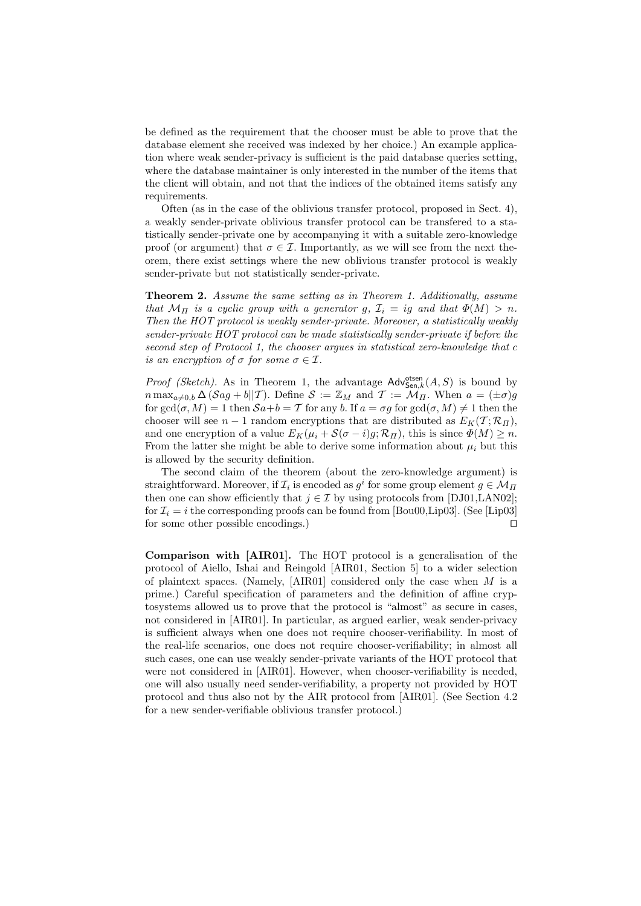be defined as the requirement that the chooser must be able to prove that the database element she received was indexed by her choice.) An example application where weak sender-privacy is sufficient is the paid database queries setting, where the database maintainer is only interested in the number of the items that the client will obtain, and not that the indices of the obtained items satisfy any requirements.

Often (as in the case of the oblivious transfer protocol, proposed in Sect. 4), a weakly sender-private oblivious transfer protocol can be transfered to a statistically sender-private one by accompanying it with a suitable zero-knowledge proof (or argument) that  $\sigma \in \mathcal{I}$ . Importantly, as we will see from the next theorem, there exist settings where the new oblivious transfer protocol is weakly sender-private but not statistically sender-private.

Theorem 2. Assume the same setting as in Theorem 1. Additionally, assume that  $\mathcal{M}_{\Pi}$  is a cyclic group with a generator g,  $\mathcal{I}_i = ig$  and that  $\Phi(M) > n$ . Then the HOT protocol is weakly sender-private. Moreover, a statistically weakly sender-private HOT protocol can be made statistically sender-private if before the second step of Protocol 1, the chooser argues in statistical zero-knowledge that c is an encryption of  $\sigma$  for some  $\sigma \in \mathcal{I}$ .

*Proof (Sketch)*. As in Theorem 1, the advantage  $\mathsf{Adv}^{\mathsf{otsen}}_{\mathsf{Sen},k}(A, S)$  is bound by  $n \max_{a \neq 0,b} \Delta (\mathcal{S} a g + b || T)$ . Define  $\mathcal{S} := \mathbb{Z}_M$  and  $T := \mathcal{M}_H$ . When  $a = (\pm \sigma) g$ for gcd( $\sigma$ , M) = 1 then  $\mathcal{S}a+b=\mathcal{T}$  for any b. If  $a=\sigma g$  for gcd( $\sigma$ , M)  $\neq 1$  then the chooser will see  $n-1$  random encryptions that are distributed as  $E_K(\mathcal{T}; \mathcal{R}_{\Pi})$ , and one encryption of a value  $E_K(\mu_i + \mathcal{S}(\sigma - i)g; \mathcal{R}_H)$ , this is since  $\Phi(M) \geq n$ . From the latter she might be able to derive some information about  $\mu_i$  but this is allowed by the security definition.

The second claim of the theorem (about the zero-knowledge argument) is straightforward. Moreover, if  $\mathcal{I}_i$  is encoded as  $g^i$  for some group element  $g \in \mathcal{M}_\Pi$ then one can show efficiently that  $j \in \mathcal{I}$  by using protocols from [DJ01,LAN02]; for  $\mathcal{I}_i = i$  the corresponding proofs can be found from [Bou00,Lip03]. (See [Lip03] for some other possible encodings.)  $\Box$ 

Comparison with [AIR01]. The HOT protocol is a generalisation of the protocol of Aiello, Ishai and Reingold [AIR01, Section 5] to a wider selection of plaintext spaces. (Namely,  $[AIR01]$  considered only the case when  $M$  is a prime.) Careful specification of parameters and the definition of affine cryptosystems allowed us to prove that the protocol is "almost" as secure in cases, not considered in [AIR01]. In particular, as argued earlier, weak sender-privacy is sufficient always when one does not require chooser-verifiability. In most of the real-life scenarios, one does not require chooser-verifiability; in almost all such cases, one can use weakly sender-private variants of the HOT protocol that were not considered in [AIR01]. However, when chooser-verifiability is needed, one will also usually need sender-verifiability, a property not provided by HOT protocol and thus also not by the AIR protocol from [AIR01]. (See Section 4.2 for a new sender-verifiable oblivious transfer protocol.)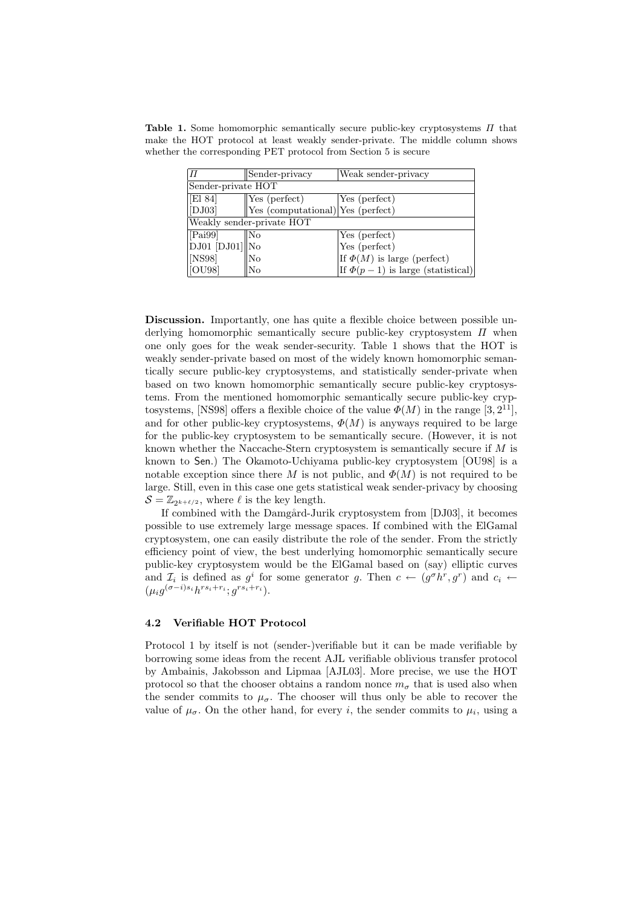Table 1. Some homomorphic semantically secure public-key cryptosystems  $\Pi$  that make the HOT protocol at least weakly sender-private. The middle column shows whether the corresponding PET protocol from Section 5 is secure

| lΠ                                             | Sender-privacy                    | Weak sender-privacy                   |  |  |  |
|------------------------------------------------|-----------------------------------|---------------------------------------|--|--|--|
| Sender-private HOT                             |                                   |                                       |  |  |  |
| $\sqrt{E184}$                                  | $\sqrt{\text{Yes}}$ (perfect)     | Yes (perfect)                         |  |  |  |
| $\vert$ [DJ03]                                 | Yes (computational) Yes (perfect) |                                       |  |  |  |
| Weakly sender-private HOT                      |                                   |                                       |  |  |  |
| [Pai99]                                        | $\parallel$ No                    | Yes (perfect)                         |  |  |  |
| $\vert$ DJ01 $\vert$ DJ01 $\vert$   $\vert$ No |                                   | Yes (perfect)                         |  |  |  |
| $\vert$ [NS98]                                 | No                                | If $\Phi(M)$ is large (perfect)       |  |  |  |
| [OU98]                                         | No                                | If $\Phi(p-1)$ is large (statistical) |  |  |  |

Discussion. Importantly, one has quite a flexible choice between possible underlying homomorphic semantically secure public-key cryptosystem  $\Pi$  when one only goes for the weak sender-security. Table 1 shows that the HOT is weakly sender-private based on most of the widely known homomorphic semantically secure public-key cryptosystems, and statistically sender-private when based on two known homomorphic semantically secure public-key cryptosystems. From the mentioned homomorphic semantically secure public-key cryptosystems, [NS98] offers a flexible choice of the value  $\Phi(M)$  in the range [3, 2<sup>11</sup>], and for other public-key cryptosystems,  $\Phi(M)$  is anyways required to be large for the public-key cryptosystem to be semantically secure. (However, it is not known whether the Naccache-Stern cryptosystem is semantically secure if  $M$  is known to Sen.) The Okamoto-Uchiyama public-key cryptosystem [OU98] is a notable exception since there M is not public, and  $\Phi(M)$  is not required to be large. Still, even in this case one gets statistical weak sender-privacy by choosing  $\mathcal{S} = \mathbb{Z}_{2^{k+\ell/2}}$ , where  $\ell$  is the key length.

If combined with the Damgård-Jurik cryptosystem from [DJ03], it becomes possible to use extremely large message spaces. If combined with the ElGamal cryptosystem, one can easily distribute the role of the sender. From the strictly efficiency point of view, the best underlying homomorphic semantically secure public-key cryptosystem would be the ElGamal based on (say) elliptic curves and  $\mathcal{I}_i$  is defined as  $g^i$  for some generator g. Then  $c \leftarrow (g^{\sigma} h^r, g^r)$  and  $c_i \leftarrow$  $(\mu_i g^{(\sigma-i)s_i} h^{rs_i+r_i}; g^{rs_i+r_i}).$ 

### 4.2 Verifiable HOT Protocol

Protocol 1 by itself is not (sender-)verifiable but it can be made verifiable by borrowing some ideas from the recent AJL verifiable oblivious transfer protocol by Ambainis, Jakobsson and Lipmaa [AJL03]. More precise, we use the HOT protocol so that the chooser obtains a random nonce  $m_{\sigma}$  that is used also when the sender commits to  $\mu_{\sigma}$ . The chooser will thus only be able to recover the value of  $\mu_{\sigma}$ . On the other hand, for every *i*, the sender commits to  $\mu_i$ , using a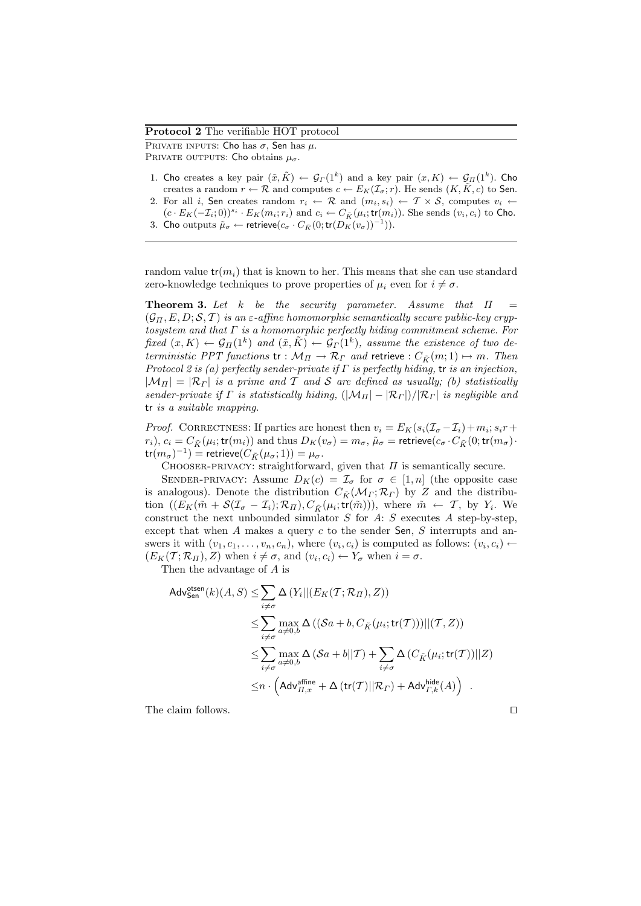### Protocol 2 The verifiable HOT protocol

PRIVATE INPUTS: Cho has  $\sigma$ , Sen has  $\mu$ . PRIVATE OUTPUTS: Cho obtains  $\mu_{\sigma}$ .

- 1. Cho creates a key pair  $(\tilde{x}, \tilde{K}) \leftarrow \mathcal{G}_{\Gamma}(1^k)$  and a key pair  $(x, K) \leftarrow \mathcal{G}_{\Pi}(1^k)$ . Cho creates a random  $r \leftarrow \mathcal{R}$  and computes  $c \leftarrow E_K(\mathcal{I}_\sigma; r)$ . He sends  $(K, \tilde{K}, c)$  to Sen.
- 2. For all i, Sen creates random  $r_i \leftarrow \mathcal{R}$  and  $(m_i, s_i) \leftarrow \mathcal{T} \times \mathcal{S}$ , computes  $v_i \leftarrow$  $(c \cdot E_K(-\mathcal{I}_i; 0))^{s_i} \cdot E_K(m_i; r_i)$  and  $c_i \leftarrow C_{\tilde{K}}(\mu_i; \text{tr}(m_i))$ . She sends  $(v_i, c_i)$  to Cho.
- 3. Cho outputs  $\tilde{\mu}_{\sigma} \leftarrow$  retrieve $(c_{\sigma} \cdot C_{\tilde{K}}(0; \mathsf{tr}(D_K(v_{\sigma}))^{-1})).$

random value  $tr(m_i)$  that is known to her. This means that she can use standard zero-knowledge techniques to prove properties of  $\mu_i$  even for  $i \neq \sigma$ .

**Theorem 3.** Let k be the security parameter. Assume that  $\Pi$  $(\mathcal{G}_{\Pi}, E, D; \mathcal{S}, \mathcal{T})$  is an  $\varepsilon$ -affine homomorphic semantically secure public-key cryptosystem and that  $\Gamma$  is a homomorphic perfectly hiding commitment scheme. For fixed  $(x,K) \leftarrow \mathcal{G}_{\Pi}(1^k)$  and  $(\tilde{x},\tilde{K}) \leftarrow \mathcal{G}_{\Gamma}(1^k)$ , assume the existence of two deterministic PPT functions  $tr : \mathcal{M}_{\Pi} \to \mathcal{R}_{\Gamma}$  and retrieve :  $C_{\tilde{K}}(m; 1) \mapsto m$ . Then Protocol 2 is (a) perfectly sender-private if  $\Gamma$  is perfectly hiding, tr is an injection,  $|\mathcal{M}_{\Pi}| = |\mathcal{R}_{\Gamma}|$  is a prime and T and S are defined as usually; (b) statistically sender-private if  $\Gamma$  is statistically hiding,  $(|\mathcal{M}_{\Pi}| - |\mathcal{R}_{\Gamma}|)/|\mathcal{R}_{\Gamma}|$  is negligible and tr is a suitable mapping.

*Proof.* CORRECTNESS: If parties are honest then  $v_i = E_K(s_i(\mathcal{I}_{\sigma} - \mathcal{I}_i) + m_i; s_i r + \mathcal{I}_{\sigma}$  $(r_i), c_i = C_{\tilde K}(\mu_i; \mathsf{tr}(m_i))$  and thus  $D_K(v_\sigma) = m_\sigma, \tilde \mu_\sigma = \mathsf{retrieve}(c_\sigma \cdot C_{\tilde K}(0; \mathsf{tr}(m_\sigma) \cdot \sigma))$  $\mathsf{tr}(m_\sigma)^{-1}) = \mathsf{retrieve}(C_{\tilde{K}}(\mu_\sigma; 1)) = \mu_\sigma.$ 

CHOOSER-PRIVACY: straightforward, given that  $\Pi$  is semantically secure.

SENDER-PRIVACY: Assume  $D_K(c) = \mathcal{I}_{\sigma}$  for  $\sigma \in [1, n]$  (the opposite case is analogous). Denote the distribution  $C_{\tilde{K}}(\mathcal{M}_{\Gamma}; \mathcal{R}_{\Gamma})$  by Z and the distribution  $((E_K(\tilde{m} + \mathcal{S}(\mathcal{I}_{\sigma} - \mathcal{I}_i); \mathcal{R}_{\Pi}), C_{\tilde{K}}(\mu_i; \text{tr}(\tilde{m}))),$  where  $\tilde{m} \leftarrow \mathcal{T}$ , by  $Y_i$ . We construct the next unbounded simulator  $S$  for  $A: S$  executes  $A$  step-by-step, except that when  $A$  makes a query  $c$  to the sender Sen,  $S$  interrupts and answers it with  $(v_1, c_1, \ldots, v_n, c_n)$ , where  $(v_i, c_i)$  is computed as follows:  $(v_i, c_i) \leftarrow$  $(E_K(\mathcal{T}; \mathcal{R}_\Pi), Z)$  when  $i \neq \sigma$ , and  $(v_i, c_i) \leftarrow Y_\sigma$  when  $i = \sigma$ .

Then the advantage of A is

$$
\mathsf{Adv}_{\mathsf{Sen}}^{\mathsf{otsen}}(k)(A, S) \leq \sum_{i \neq \sigma} \Delta \left( Y_i || (E_K(\mathcal{T}; \mathcal{R}_{\mathcal{T}}), Z) \right)
$$
  
\n
$$
\leq \sum_{i \neq \sigma} \max_{a \neq 0, b} \Delta \left( \left( \mathcal{S}a + b, C_{\tilde{K}}(\mu_i; \mathsf{tr}(\mathcal{T})) \right) || (\mathcal{T}, Z) \right)
$$
  
\n
$$
\leq \sum_{i \neq \sigma} \max_{a \neq 0, b} \Delta \left( \mathcal{S}a + b || \mathcal{T} \right) + \sum_{i \neq \sigma} \Delta \left( C_{\tilde{K}}(\mu_i; \mathsf{tr}(\mathcal{T})) || Z \right)
$$
  
\n
$$
\leq n \cdot \left( \mathsf{Adv}_{\mathcal{T}, x}^{\text{affine}} + \Delta \left( \mathsf{tr}(\mathcal{T}) || \mathcal{R}_{\mathcal{T}} \right) + \mathsf{Adv}_{\mathcal{T}, k}^{\text{hide}}(A) \right) .
$$

The claim follows.  $\Box$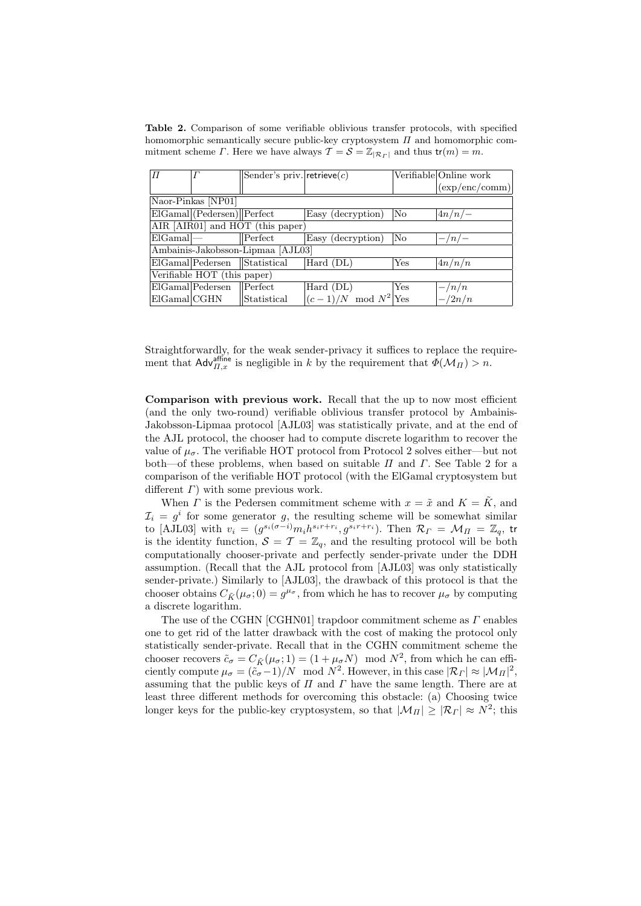Table 2. Comparison of some verifiable oblivious transfer protocols, with specified homomorphic semantically secure public-key cryptosystem  $\Pi$  and homomorphic commitment scheme Γ. Here we have always  $\mathcal{T} = \mathcal{S} = \mathbb{Z}_{|\mathcal{R}_r|}$  and thus  $tr(m) = m$ .

| Π                                 |                              | Sender's priv. retrieve $(c)$ |                               |                    | Verifiable Online work          |  |
|-----------------------------------|------------------------------|-------------------------------|-------------------------------|--------------------|---------------------------------|--|
|                                   |                              |                               |                               |                    | $(\exp/\text{enc}/\text{comm})$ |  |
| Naor-Pinkas [NP01]                |                              |                               |                               |                    |                                 |  |
|                                   | $EIGamal$ (Pedersen) Perfect |                               | Easy (decryption)             | No                 | $\left 4n/n\right -\right.$     |  |
| AIR [AIR01] and HOT (this paper)  |                              |                               |                               |                    |                                 |  |
| $E$ IGamal $\left  \right $       |                              | $\mathbf{P}_{\text{erfect}}$  | Easy (decryption)             | $\overline{N_{O}}$ | $-\frac{n}{-}$                  |  |
| Ambainis-Jakobsson-Lipmaa [AJL03] |                              |                               |                               |                    |                                 |  |
|                                   | ElGamal Pedersen Statistical |                               | Hard (DL)                     | Yes                | $\left 4n/n/n\right $           |  |
| Verifiable HOT (this paper)       |                              |                               |                               |                    |                                 |  |
|                                   | $E$ IGamal Pedersen          | $\mathbb{P}\mathrm{erfect}$   | $\overline{\text{Hard}}$ (DL) | Yes                | $-\frac{n}{n}$                  |  |
| ElGamal CGHN                      |                              | Statistical                   | $(c-1)/N \mod N^2$ Yes        |                    | $-\frac{2n}{n}$                 |  |

Straightforwardly, for the weak sender-privacy it suffices to replace the requirement that  $\mathsf{Adv}_{\Pi,x}^{\text{affine}}$  is negligible in k by the requirement that  $\Phi(\mathcal{M}_{\Pi}) > n$ .

Comparison with previous work. Recall that the up to now most efficient (and the only two-round) verifiable oblivious transfer protocol by Ambainis-Jakobsson-Lipmaa protocol [AJL03] was statistically private, and at the end of the AJL protocol, the chooser had to compute discrete logarithm to recover the value of  $\mu_{\sigma}$ . The verifiable HOT protocol from Protocol 2 solves either—but not both—of these problems, when based on suitable  $\Pi$  and  $\Gamma$ . See Table 2 for a comparison of the verifiable HOT protocol (with the ElGamal cryptosystem but different  $\Gamma$ ) with some previous work.

When  $\Gamma$  is the Pedersen commitment scheme with  $x = \tilde{x}$  and  $K = \tilde{K}$ , and  $\mathcal{I}_i = g^i$  for some generator g, the resulting scheme will be somewhat similar to [AJL03] with  $v_i = (g^{s_i(\sigma-i)}m_i h^{s_i r+r_i}, g^{s_i r+r_i})$ . Then  $\mathcal{R}_{\Gamma} = \mathcal{M}_{\Pi} = \mathbb{Z}_q$ , tr is the identity function,  $S = T = \mathbb{Z}_q$ , and the resulting protocol will be both computationally chooser-private and perfectly sender-private under the DDH assumption. (Recall that the AJL protocol from [AJL03] was only statistically sender-private.) Similarly to [AJL03], the drawback of this protocol is that the chooser obtains  $C_{\tilde{K}}(\mu_{\sigma};0) = g^{\mu_{\sigma}}$ , from which he has to recover  $\mu_{\sigma}$  by computing a discrete logarithm.

The use of the CGHN [CGHN01] trapdoor commitment scheme as  $\Gamma$  enables one to get rid of the latter drawback with the cost of making the protocol only statistically sender-private. Recall that in the CGHN commitment scheme the chooser recovers  $\tilde{c}_{\sigma} = C_{\tilde{K}}(\mu_{\sigma}; 1) = (1 + \mu_{\sigma} N) \mod N^2$ , from which he can efficiently compute  $\mu_{\sigma} = (\tilde{c}_{\sigma} - 1)/N \mod N^2$ . However, in this case  $|\mathcal{R}_\Gamma| \approx |\mathcal{M}_\Pi|^2$ , assuming that the public keys of  $\Pi$  and  $\Gamma$  have the same length. There are at least three different methods for overcoming this obstacle: (a) Choosing twice longer keys for the public-key cryptosystem, so that  $|\mathcal{M}_{\Pi}| \geq |\mathcal{R}_{\Gamma}| \approx N^2$ ; this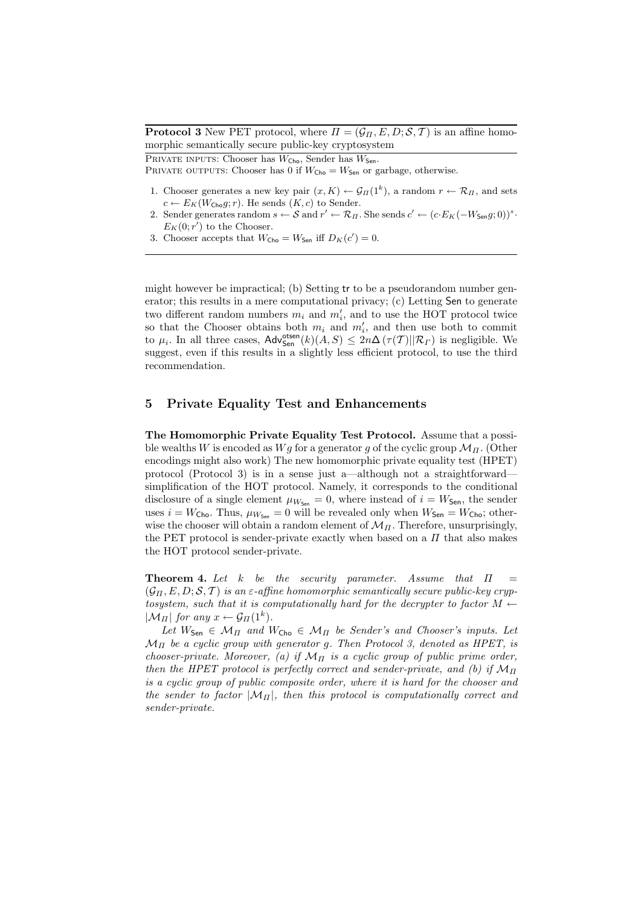**Protocol 3** New PET protocol, where  $\Pi = (\mathcal{G}_{\Pi}, E, D; \mathcal{S}, \mathcal{T})$  is an affine homomorphic semantically secure public-key cryptosystem

PRIVATE INPUTS: Chooser has  $W_{\text{Cho}}$ , Sender has  $W_{\text{Sen}}$ .

PRIVATE OUTPUTS: Chooser has 0 if  $W_{\text{Cho}} = W_{\text{Sen}}$  or garbage, otherwise.

- 1. Chooser generates a new key pair  $(x, K) \leftarrow \mathcal{G}_{\Pi}(1^k)$ , a random  $r \leftarrow \mathcal{R}_{\Pi}$ , and sets  $c \leftarrow E_K(W_{\text{Cho}}q; r)$ . He sends  $(K, c)$  to Sender.
- 2. Sender generates random  $s \leftarrow S$  and  $r' \leftarrow \mathcal{R}_\Pi$ . She sends  $c' \leftarrow (c \cdot E_K(-W_{\mathsf{Sen}}g; 0))^s$ .  $E_K(0; r')$  to the Chooser.
- 3. Chooser accepts that  $W_{\text{Cho}} = W_{\text{Sen}}$  iff  $D_K(c') = 0$ .

might however be impractical; (b) Setting tr to be a pseudorandom number generator; this results in a mere computational privacy; (c) Letting Sen to generate two different random numbers  $m_i$  and  $m'_i$ , and to use the HOT protocol twice so that the Chooser obtains both  $m_i$  and  $m'_i$ , and then use both to commit to  $\mu_i$ . In all three cases,  $\mathsf{Adv}^{\text{ots}}_{\text{Sen}}(k)(A, S) \leq 2n\Delta(\tau(\mathcal{T})||\mathcal{R}_{\Gamma})$  is negligible. We suggest, even if this results in a slightly less efficient protocol, to use the third recommendation.

## 5 Private Equality Test and Enhancements

The Homomorphic Private Equality Test Protocol. Assume that a possible wealths W is encoded as  $Wg$  for a generator g of the cyclic group  $\mathcal{M}_{\Pi}$ . (Other encodings might also work) The new homomorphic private equality test (HPET) protocol (Protocol 3) is in a sense just a—although not a straightforward simplification of the HOT protocol. Namely, it corresponds to the conditional disclosure of a single element  $\mu_{W_{\text{Sen}}} = 0$ , where instead of  $i = W_{\text{Sen}}$ , the sender uses  $i = W_{\text{Cho}}$ . Thus,  $\mu_{W_{\text{Sen}}} = 0$  will be revealed only when  $W_{\text{Sen}} = W_{\text{Cho}}$ ; otherwise the chooser will obtain a random element of  $\mathcal{M}_H$ . Therefore, unsurprisingly, the PET protocol is sender-private exactly when based on a  $\Pi$  that also makes the HOT protocol sender-private.

**Theorem 4.** Let k be the security parameter. Assume that  $\Pi$  =  $(\mathcal{G}_{\Pi}, E, D; \mathcal{S}, \mathcal{T})$  is an  $\varepsilon$ -affine homomorphic semantically secure public-key cryptosystem, such that it is computationally hard for the decrypter to factor  $M \leftarrow$  $|\mathcal{M}_{\Pi}|$  for any  $x \leftarrow \mathcal{G}_{\Pi}(1^k)$ .

Let  $W_{\text{Sen}} \in \mathcal{M}_{\Pi}$  and  $W_{\text{Cho}} \in \mathcal{M}_{\Pi}$  be Sender's and Chooser's inputs. Let  $\mathcal{M}_{\Pi}$  be a cyclic group with generator g. Then Protocol 3, denoted as HPET, is chooser-private. Moreover, (a) if  $\mathcal{M}_{\Pi}$  is a cyclic group of public prime order, then the HPET protocol is perfectly correct and sender-private, and (b) if  $\mathcal{M}_{\Pi}$ is a cyclic group of public composite order, where it is hard for the chooser and the sender to factor  $|M_{\Pi}|$ , then this protocol is computationally correct and sender-private.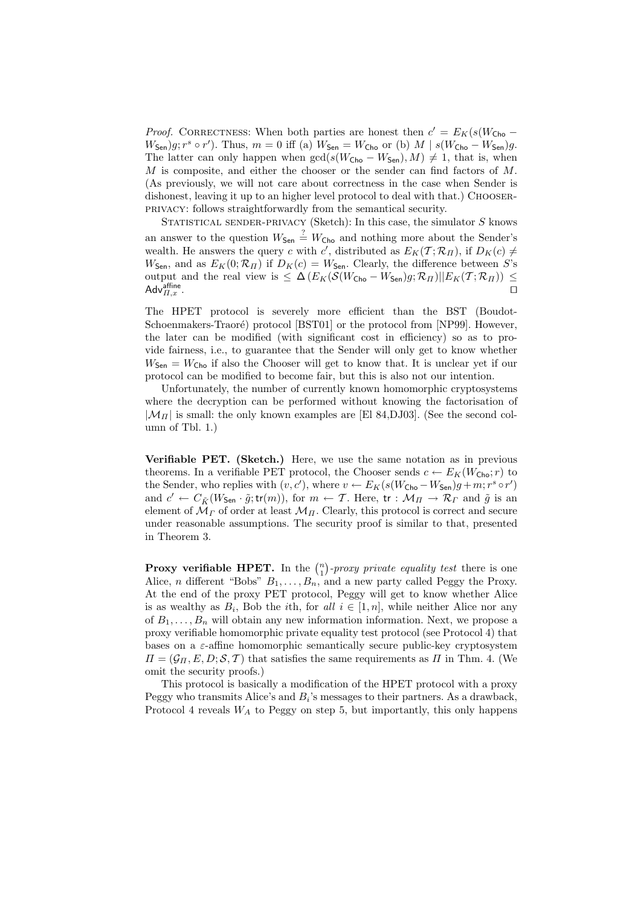*Proof.* CORRECTNESS: When both parties are honest then  $c' = E_K(s(W_{\text{Cho}} W_{\mathsf{Sen}}(g; r^s \circ r')$ . Thus,  $m = 0$  iff (a)  $W_{\mathsf{Sen}} = W_{\mathsf{Cho}}$  or (b)  $M \mid s(W_{\mathsf{Cho}} - W_{\mathsf{Sen}})g$ . The latter can only happen when  $gcd(s(W_{\text{Cho}} - W_{\text{Sen}}), M) \neq 1$ , that is, when  $M$  is composite, and either the chooser or the sender can find factors of  $M$ . (As previously, we will not care about correctness in the case when Sender is dishonest, leaving it up to an higher level protocol to deal with that.) CHOOSERprivacy: follows straightforwardly from the semantical security.

STATISTICAL SENDER-PRIVACY (Sketch): In this case, the simulator  $S$  knows an answer to the question  $W_{\text{Sen}} \stackrel{?}{=} W_{\text{Cho}}$  and nothing more about the Sender's wealth. He answers the query c with c', distributed as  $E_K(\mathcal{T}; \mathcal{R}_{\Pi})$ , if  $D_K(c) \neq$  $W_{\text{Sen}}$ , and as  $E_K(0; \mathcal{R}_{\Pi})$  if  $D_K(c) = W_{\text{Sen}}$ . Clearly, the difference between S's output and the real view is  $\leq \Delta \left( E_K(\mathcal{S}(W_{\text{Cho}} - W_{\text{Sen}})g; \mathcal{R}_\Pi) || E_K(\mathcal{T}; \mathcal{R}_\Pi) \right) \leq$ Adv $\overline{H}_{,H,x}^{\text{affine}}$ . affine  $\Pi, x$  .  $\hfill\Box$ 

The HPET protocol is severely more efficient than the BST (Boudot-Schoenmakers-Traoré) protocol [BST01] or the protocol from [NP99]. However, the later can be modified (with significant cost in efficiency) so as to provide fairness, i.e., to guarantee that the Sender will only get to know whether  $W_{\text{Sen}} = W_{\text{Cho}}$  if also the Chooser will get to know that. It is unclear yet if our protocol can be modified to become fair, but this is also not our intention.

Unfortunately, the number of currently known homomorphic cryptosystems where the decryption can be performed without knowing the factorisation of  $|\mathcal{M}_{\Pi}|$  is small: the only known examples are [El 84,DJ03]. (See the second column of Tbl. 1.)

Verifiable PET. (Sketch.) Here, we use the same notation as in previous theorems. In a verifiable PET protocol, the Chooser sends  $c \leftarrow E_K(W_{\text{Cho}}; r)$  to the Sender, who replies with  $(v, c')$ , where  $v \leftarrow E_K(s(W_{\text{Cho}} - W_{\text{Sen}})g + m; r^s \circ r')$ and  $c' \leftarrow C_{\tilde{K}}(W_{\mathsf{Sen}} \cdot \tilde{g}; \mathsf{tr}(m)),$  for  $m \leftarrow \mathcal{T}$ . Here,  $\mathsf{tr} : \mathcal{M}_{\Pi} \rightarrow \mathcal{R}_{\Gamma}$  and  $\tilde{g}$  is an element of  $\mathcal{M}_{\Gamma}$  of order at least  $\mathcal{M}_{\Pi}$ . Clearly, this protocol is correct and secure under reasonable assumptions. The security proof is similar to that, presented in Theorem 3.

**Proxy verifiable HPET.** In the  $\binom{n}{1}$ ¢ -proxy private equality test there is one Alice, *n* different "Bobs"  $B_1, \ldots, B_n$ , and a new party called Peggy the Proxy. At the end of the proxy PET protocol, Peggy will get to know whether Alice is as wealthy as  $B_i$ , Bob the *i*th, for all  $i \in [1, n]$ , while neither Alice nor any of  $B_1, \ldots, B_n$  will obtain any new information information. Next, we propose a proxy verifiable homomorphic private equality test protocol (see Protocol 4) that bases on a  $\varepsilon$ -affine homomorphic semantically secure public-key cryptosystem  $\Pi = (\mathcal{G}_\Pi, E, D; \mathcal{S}, \mathcal{T})$  that satisfies the same requirements as  $\Pi$  in Thm. 4. (We omit the security proofs.)

This protocol is basically a modification of the HPET protocol with a proxy Peggy who transmits Alice's and  $B_i$ 's messages to their partners. As a drawback, Protocol 4 reveals  $W_A$  to Peggy on step 5, but importantly, this only happens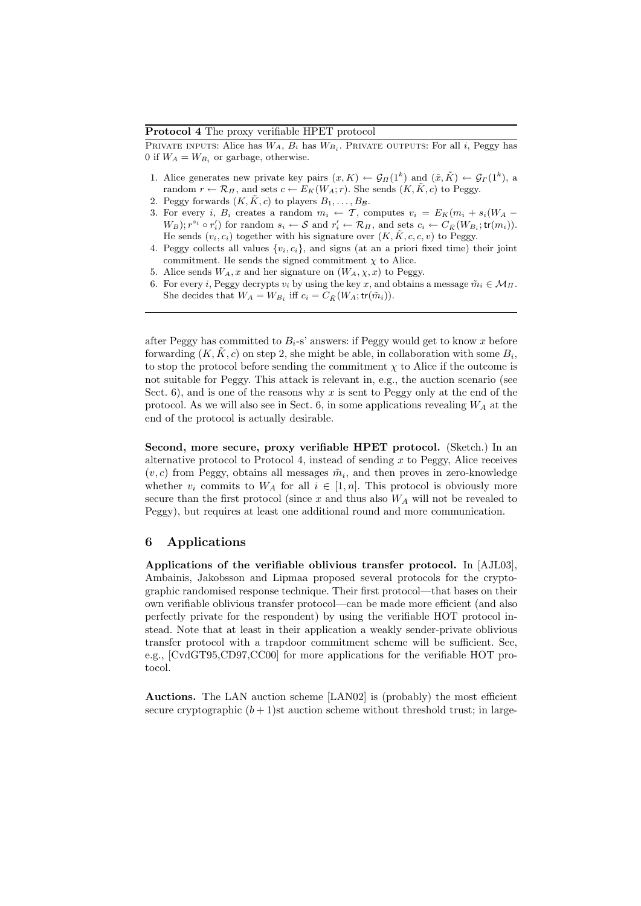### Protocol 4 The proxy verifiable HPET protocol

PRIVATE INPUTS: Alice has  $W_A, B_i$  has  $W_{B_i}$ . PRIVATE OUTPUTS: For all i, Peggy has 0 if  $W_A = W_{B_i}$  or garbage, otherwise.

- 1. Alice generates new private key pairs  $(x, K) \leftarrow \mathcal{G}_{\Pi}(1^k)$  and  $(\tilde{x}, \tilde{K}) \leftarrow \mathcal{G}_{\Gamma}(1^k)$ , a random  $r \leftarrow \mathcal{R}_{\Pi}$ , and sets  $c \leftarrow E_K(W_A; r)$ . She sends  $(K, \tilde{K}, c)$  to Peggy.
- 2. Peggy forwards  $(K, K, c)$  to players  $B_1, \ldots, B_B$ .
- 3. For every i,  $B_i$  creates a random  $m_i \leftarrow T$ , computes  $v_i = E_K(m_i + s_i(W_A (W_B); r^{s_i} \circ r'_i$  for random  $s_i \leftarrow S$  and  $r'_i \leftarrow \mathcal{R}_{\Pi}$ , and sets  $c_i \leftarrow C_{\tilde{K}}(W_{B_i}; \mathsf{tr}(m_i)).$ He sends  $(v_i, c_i)$  together with his signature over  $(K, \tilde{K}, c, c, v)$  to Peggy.
- 4. Peggy collects all values  $\{v_i, c_i\}$ , and signs (at an a priori fixed time) their joint commitment. He sends the signed commitment  $\chi$  to Alice.
- 5. Alice sends  $W_A$ , x and her signature on  $(W_A, \chi, x)$  to Peggy.
- 6. For every *i*, Peggy decrypts  $v_i$  by using the key x, and obtains a message  $\tilde{m}_i \in \mathcal{M}_{\Pi}$ . She decides that  $W_A = W_{B_i}$  iff  $c_i = C_{\tilde{K}}(W_A; \text{tr}(\tilde{m}_i)).$

after Peggy has committed to  $B_i$ -s' answers: if Peggy would get to know x before forwarding  $(K, \tilde{K}, c)$  on step 2, she might be able, in collaboration with some  $B_i$ , to stop the protocol before sending the commitment  $\chi$  to Alice if the outcome is not suitable for Peggy. This attack is relevant in, e.g., the auction scenario (see Sect. 6), and is one of the reasons why  $x$  is sent to Peggy only at the end of the protocol. As we will also see in Sect. 6, in some applications revealing  $W_A$  at the end of the protocol is actually desirable.

Second, more secure, proxy verifiable HPET protocol. (Sketch.) In an alternative protocol to Protocol 4, instead of sending  $x$  to Peggy, Alice receives  $(v, c)$  from Peggy, obtains all messages  $\tilde{m}_i$ , and then proves in zero-knowledge whether  $v_i$  commits to  $W_A$  for all  $i \in [1, n]$ . This protocol is obviously more secure than the first protocol (since  $x$  and thus also  $W_A$  will not be revealed to Peggy), but requires at least one additional round and more communication.

## 6 Applications

Applications of the verifiable oblivious transfer protocol. In [AJL03], Ambainis, Jakobsson and Lipmaa proposed several protocols for the cryptographic randomised response technique. Their first protocol—that bases on their own verifiable oblivious transfer protocol—can be made more efficient (and also perfectly private for the respondent) by using the verifiable HOT protocol instead. Note that at least in their application a weakly sender-private oblivious transfer protocol with a trapdoor commitment scheme will be sufficient. See, e.g., [CvdGT95,CD97,CC00] for more applications for the verifiable HOT protocol.

Auctions. The LAN auction scheme [LAN02] is (probably) the most efficient secure cryptographic  $(b+1)$ st auction scheme without threshold trust; in large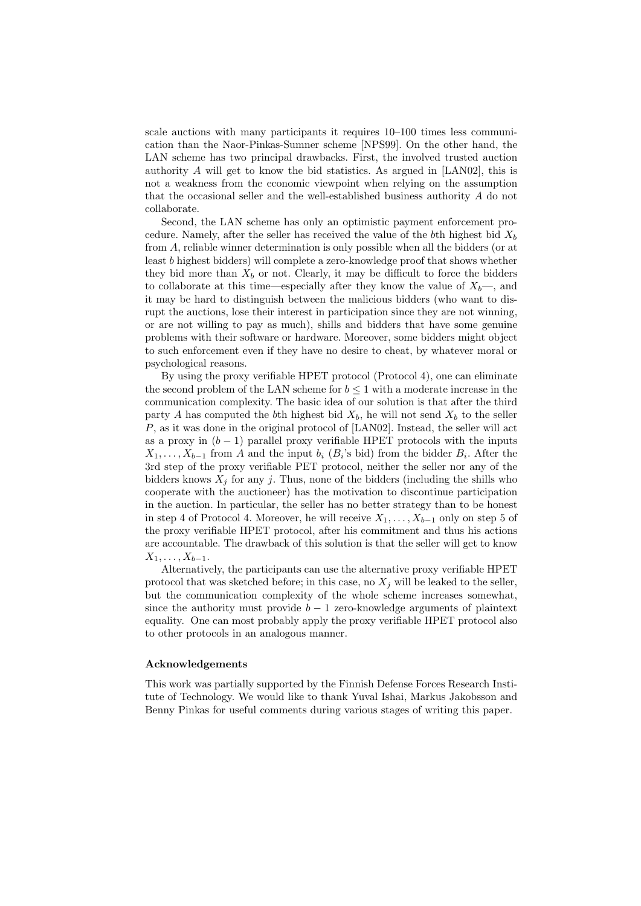scale auctions with many participants it requires 10–100 times less communication than the Naor-Pinkas-Sumner scheme [NPS99]. On the other hand, the LAN scheme has two principal drawbacks. First, the involved trusted auction authority A will get to know the bid statistics. As argued in [LAN02], this is not a weakness from the economic viewpoint when relying on the assumption that the occasional seller and the well-established business authority A do not collaborate.

Second, the LAN scheme has only an optimistic payment enforcement procedure. Namely, after the seller has received the value of the bth highest bid  $X<sub>b</sub>$ from A, reliable winner determination is only possible when all the bidders (or at least b highest bidders) will complete a zero-knowledge proof that shows whether they bid more than  $X_b$  or not. Clearly, it may be difficult to force the bidders to collaborate at this time—especially after they know the value of  $X_b$ —, and it may be hard to distinguish between the malicious bidders (who want to disrupt the auctions, lose their interest in participation since they are not winning, or are not willing to pay as much), shills and bidders that have some genuine problems with their software or hardware. Moreover, some bidders might object to such enforcement even if they have no desire to cheat, by whatever moral or psychological reasons.

By using the proxy verifiable HPET protocol (Protocol 4), one can eliminate the second problem of the LAN scheme for  $b \leq 1$  with a moderate increase in the communication complexity. The basic idea of our solution is that after the third party A has computed the bth highest bid  $X_b$ , he will not send  $X_b$  to the seller P, as it was done in the original protocol of [LAN02]. Instead, the seller will act as a proxy in  $(b - 1)$  parallel proxy verifiable HPET protocols with the inputs  $X_1, \ldots, X_{b-1}$  from A and the input  $b_i$  ( $B_i$ 's bid) from the bidder  $B_i$ . After the 3rd step of the proxy verifiable PET protocol, neither the seller nor any of the bidders knows  $X_i$  for any j. Thus, none of the bidders (including the shills who cooperate with the auctioneer) has the motivation to discontinue participation in the auction. In particular, the seller has no better strategy than to be honest in step 4 of Protocol 4. Moreover, he will receive  $X_1, \ldots, X_{b-1}$  only on step 5 of the proxy verifiable HPET protocol, after his commitment and thus his actions are accountable. The drawback of this solution is that the seller will get to know  $X_1, \ldots, X_{b-1}.$ 

Alternatively, the participants can use the alternative proxy verifiable HPET protocol that was sketched before; in this case, no  $X_j$  will be leaked to the seller, but the communication complexity of the whole scheme increases somewhat, since the authority must provide  $b - 1$  zero-knowledge arguments of plaintext equality. One can most probably apply the proxy verifiable HPET protocol also to other protocols in an analogous manner.

## Acknowledgements

This work was partially supported by the Finnish Defense Forces Research Institute of Technology. We would like to thank Yuval Ishai, Markus Jakobsson and Benny Pinkas for useful comments during various stages of writing this paper.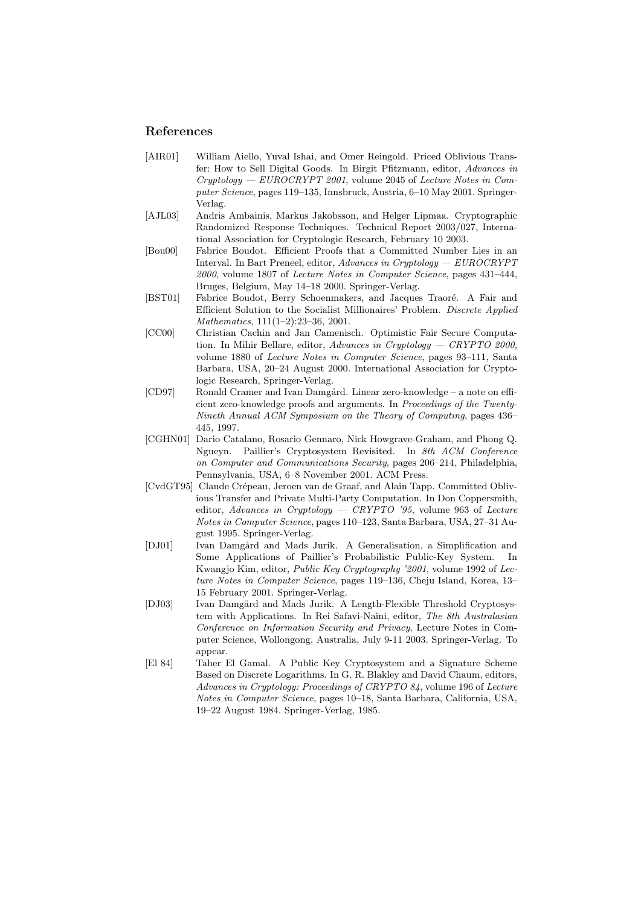## References

- [AIR01] William Aiello, Yuval Ishai, and Omer Reingold. Priced Oblivious Transfer: How to Sell Digital Goods. In Birgit Pfitzmann, editor, Advances in  $Cryptology - EUROCRYPT 2001$ , volume 2045 of *Lecture Notes in Com*puter Science, pages 119–135, Innsbruck, Austria, 6–10 May 2001. Springer-Verlag.
- [AJL03] Andris Ambainis, Markus Jakobsson, and Helger Lipmaa. Cryptographic Randomized Response Techniques. Technical Report 2003/027, International Association for Cryptologic Research, February 10 2003.
- [Bou00] Fabrice Boudot. Efficient Proofs that a Committed Number Lies in an Interval. In Bart Preneel, editor, Advances in Cryptology — EUROCRYPT 2000, volume 1807 of Lecture Notes in Computer Science, pages 431–444, Bruges, Belgium, May 14–18 2000. Springer-Verlag.
- [BST01] Fabrice Boudot, Berry Schoenmakers, and Jacques Traoré. A Fair and Efficient Solution to the Socialist Millionaires' Problem. Discrete Applied Mathematics, 111(1–2):23–36, 2001.
- [CC00] Christian Cachin and Jan Camenisch. Optimistic Fair Secure Computation. In Mihir Bellare, editor, Advances in Cryptology - CRYPTO 2000, volume 1880 of Lecture Notes in Computer Science, pages 93–111, Santa Barbara, USA, 20–24 August 2000. International Association for Cryptologic Research, Springer-Verlag.
- [CD97] Ronald Cramer and Ivan Damgård. Linear zero-knowledge a note on efficient zero-knowledge proofs and arguments. In Proceedings of the Twenty-Nineth Annual ACM Symposium on the Theory of Computing, pages 436– 445, 1997.
- [CGHN01] Dario Catalano, Rosario Gennaro, Nick Howgrave-Graham, and Phong Q. Ngueyn. Paillier's Cryptosystem Revisited. In 8th ACM Conference on Computer and Communications Security, pages 206–214, Philadelphia, Pennsylvania, USA, 6–8 November 2001. ACM Press.
- [CvdGT95] Claude Cr´epeau, Jeroen van de Graaf, and Alain Tapp. Committed Oblivious Transfer and Private Multi-Party Computation. In Don Coppersmith, editor, Advances in Cryptology  $-$  CRYPTO '95, volume 963 of Lecture Notes in Computer Science, pages 110–123, Santa Barbara, USA, 27–31 August 1995. Springer-Verlag.
- [DJ01] Ivan Damgård and Mads Jurik. A Generalisation, a Simplification and Some Applications of Paillier's Probabilistic Public-Key System. In Kwangjo Kim, editor, Public Key Cryptography '2001, volume 1992 of Lecture Notes in Computer Science, pages 119–136, Cheju Island, Korea, 13– 15 February 2001. Springer-Verlag.
- [DJ03] Ivan Damgård and Mads Jurik. A Length-Flexible Threshold Cryptosystem with Applications. In Rei Safavi-Naini, editor, The 8th Australasian Conference on Information Security and Privacy, Lecture Notes in Computer Science, Wollongong, Australia, July 9-11 2003. Springer-Verlag. To appear.
- [El 84] Taher El Gamal. A Public Key Cryptosystem and a Signature Scheme Based on Discrete Logarithms. In G. R. Blakley and David Chaum, editors, Advances in Cryptology: Proceedings of CRYPTO 84, volume 196 of Lecture Notes in Computer Science, pages 10–18, Santa Barbara, California, USA, 19–22 August 1984. Springer-Verlag, 1985.